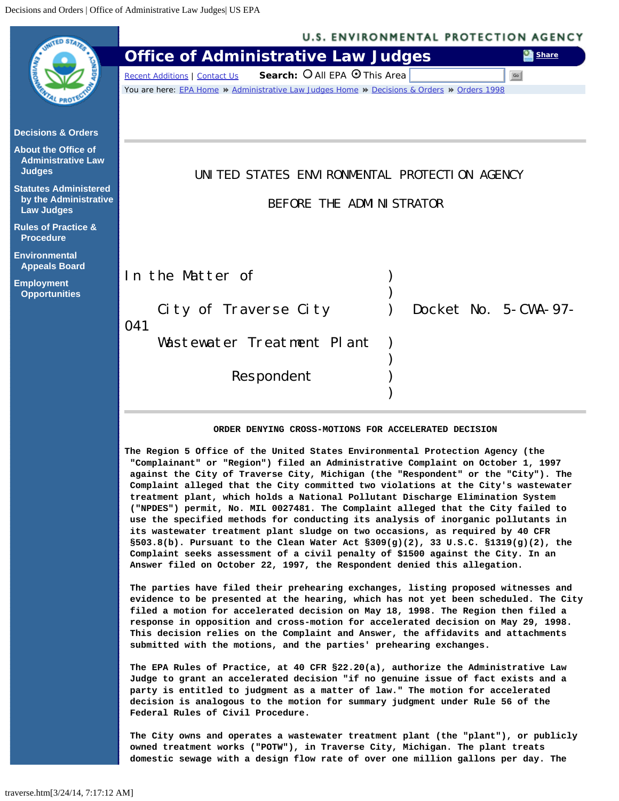<span id="page-0-0"></span>

 **evidence to be presented at the hearing, which has not yet been scheduled. The City filed a motion for accelerated decision on May 18, 1998. The Region then filed a response in opposition and cross-motion for accelerated decision on May 29, 1998. This decision relies on the Complaint and Answer, the affidavits and attachments submitted with the motions, and the parties' prehearing exchanges.**

**The EPA Rules of Practice, at 40 CFR §22.20(a), authorize the Administrative Law Judge to grant an accelerated decision "if no genuine issue of fact exists and a party is entitled to judgment as a matter of law." The motion for accelerated decision is analogous to the motion for summary judgment under Rule 56 of the Federal Rules of Civil Procedure.**

**The City owns and operates a wastewater treatment plant (the "plant"), or publicly owned treatment works ("POTW"), in Traverse City, Michigan. The plant treats domestic sewage with a design flow rate of over one million gallons per day. The**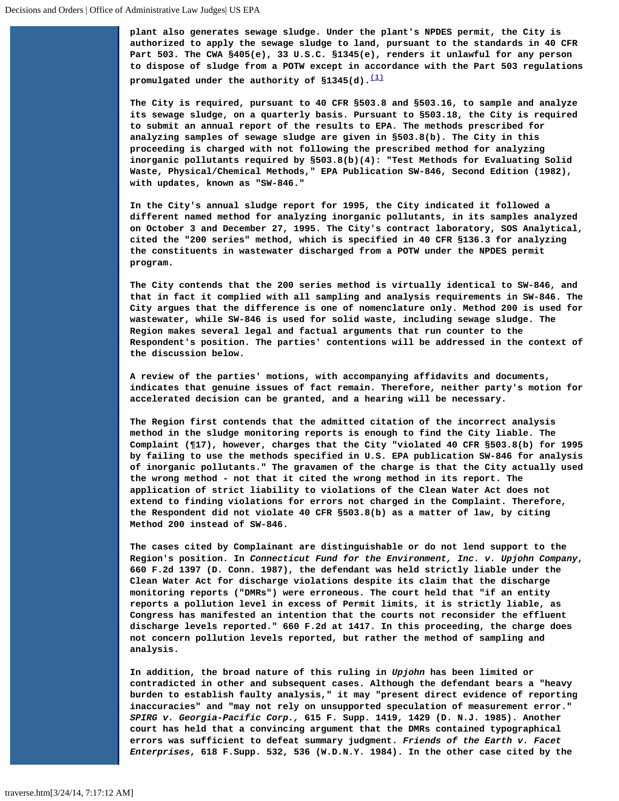**plant also generates sewage sludge. Under the plant's NPDES permit, the City is authorized to apply the sewage sludge to land, pursuant to the standards in 40 CFR Part 503. The CWA §405(e), 33 U.S.C. §1345(e), renders it unlawful for any person to dispose of sludge from a POTW except in accordance with the Part 503 regulations promulgated under the authority of §1345(d).[\(1\)](#page-3-0)**

**The City is required, pursuant to 40 CFR §503.8 and §503.16, to sample and analyze its sewage sludge, on a quarterly basis. Pursuant to §503.18, the City is required to submit an annual report of the results to EPA. The methods prescribed for analyzing samples of sewage sludge are given in §503.8(b). The City in this proceeding is charged with not following the prescribed method for analyzing inorganic pollutants required by §503.8(b)(4): "Test Methods for Evaluating Solid Waste, Physical/Chemical Methods," EPA Publication SW-846, Second Edition (1982), with updates, known as "SW-846."**

**In the City's annual sludge report for 1995, the City indicated it followed a different named method for analyzing inorganic pollutants, in its samples analyzed on October 3 and December 27, 1995. The City's contract laboratory, SOS Analytical, cited the "200 series" method, which is specified in 40 CFR §136.3 for analyzing the constituents in wastewater discharged from a POTW under the NPDES permit program.**

**The City contends that the 200 series method is virtually identical to SW-846, and that in fact it complied with all sampling and analysis requirements in SW-846. The City argues that the difference is one of nomenclature only. Method 200 is used for wastewater, while SW-846 is used for solid waste, including sewage sludge. The Region makes several legal and factual arguments that run counter to the Respondent's position. The parties' contentions will be addressed in the context of the discussion below.**

**A review of the parties' motions, with accompanying affidavits and documents, indicates that genuine issues of fact remain. Therefore, neither party's motion for accelerated decision can be granted, and a hearing will be necessary.**

**The Region first contends that the admitted citation of the incorrect analysis method in the sludge monitoring reports is enough to find the City liable. The Complaint (¶17), however, charges that the City "violated 40 CFR §503.8(b) for 1995 by failing to use the methods specified in U.S. EPA publication SW-846 for analysis of inorganic pollutants." The gravamen of the charge is that the City actually used the wrong method - not that it cited the wrong method in its report. The application of strict liability to violations of the Clean Water Act does not extend to finding violations for errors not charged in the Complaint. Therefore, the Respondent did not violate 40 CFR §503.8(b) as a matter of law, by citing Method 200 instead of SW-846.**

**The cases cited by Complainant are distinguishable or do not lend support to the Region's position. In** *Connecticut Fund for the Environment, Inc. v. Upjohn Company***, 660 F.2d 1397 (D. Conn. 1987), the defendant was held strictly liable under the Clean Water Act for discharge violations despite its claim that the discharge monitoring reports ("DMRs") were erroneous. The court held that "if an entity reports a pollution level in excess of Permit limits, it is strictly liable, as Congress has manifested an intention that the courts not reconsider the effluent discharge levels reported." 660 F.2d at 1417. In this proceeding, the charge does not concern pollution levels reported, but rather the method of sampling and analysis.**

**In addition, the broad nature of this ruling in** *Upjohn* **has been limited or contradicted in other and subsequent cases. Although the defendant bears a "heavy burden to establish faulty analysis," it may "present direct evidence of reporting inaccuracies" and "may not rely on unsupported speculation of measurement error."** *SPIRG v. Georgia-Pacific Corp.,* **615 F. Supp. 1419, 1429 (D. N.J. 1985). Another court has held that a convincing argument that the DMRs contained typographical errors was sufficient to defeat summary judgment.** *Friends of the Earth v. Facet Enterprises***, 618 F.Supp. 532, 536 (W.D.N.Y. 1984). In the other case cited by the**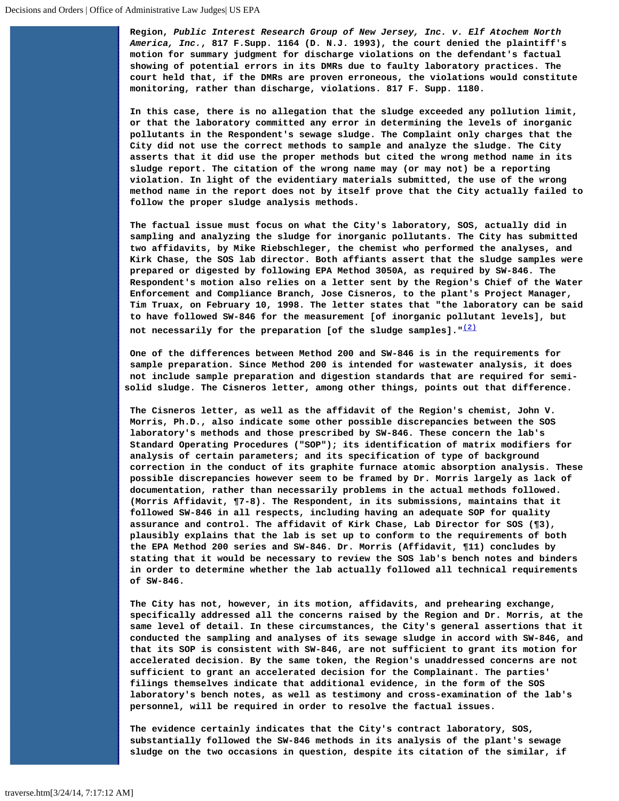**Region,** *Public Interest Research Group of New Jersey, Inc. v. Elf Atochem North America, Inc.***, 817 F.Supp. 1164 (D. N.J. 1993), the court denied the plaintiff's motion for summary judgment for discharge violations on the defendant's factual showing of potential errors in its DMRs due to faulty laboratory practices. The court held that, if the DMRs are proven erroneous, the violations would constitute monitoring, rather than discharge, violations. 817 F. Supp. 1180.**

**In this case, there is no allegation that the sludge exceeded any pollution limit, or that the laboratory committed any error in determining the levels of inorganic pollutants in the Respondent's sewage sludge. The Complaint only charges that the City did not use the correct methods to sample and analyze the sludge. The City asserts that it did use the proper methods but cited the wrong method name in its sludge report. The citation of the wrong name may (or may not) be a reporting violation. In light of the evidentiary materials submitted, the use of the wrong method name in the report does not by itself prove that the City actually failed to follow the proper sludge analysis methods.**

**The factual issue must focus on what the City's laboratory, SOS, actually did in sampling and analyzing the sludge for inorganic pollutants. The City has submitted two affidavits, by Mike Riebschleger, the chemist who performed the analyses, and Kirk Chase, the SOS lab director. Both affiants assert that the sludge samples were prepared or digested by following EPA Method 3050A, as required by SW-846. The Respondent's motion also relies on a letter sent by the Region's Chief of the Water Enforcement and Compliance Branch, Jose Cisneros, to the plant's Project Manager, Tim Truax, on February 10, 1998. The letter states that "the laboratory can be said to have followed SW-846 for the measurement [of inorganic pollutant levels], but**

 **not necessarily for the preparation [of the sludge samples]."[\(2\)](#page-3-1)**

**One of the differences between Method 200 and SW-846 is in the requirements for sample preparation. Since Method 200 is intended for wastewater analysis, it does not include sample preparation and digestion standards that are required for semisolid sludge. The Cisneros letter, among other things, points out that difference.**

**The Cisneros letter, as well as the affidavit of the Region's chemist, John V. Morris, Ph.D., also indicate some other possible discrepancies between the SOS laboratory's methods and those prescribed by SW-846. These concern the lab's Standard Operating Procedures ("SOP"); its identification of matrix modifiers for analysis of certain parameters; and its specification of type of background correction in the conduct of its graphite furnace atomic absorption analysis. These possible discrepancies however seem to be framed by Dr. Morris largely as lack of documentation, rather than necessarily problems in the actual methods followed. (Morris Affidavit, ¶7-8). The Respondent, in its submissions, maintains that it followed SW-846 in all respects, including having an adequate SOP for quality assurance and control. The affidavit of Kirk Chase, Lab Director for SOS (¶3), plausibly explains that the lab is set up to conform to the requirements of both the EPA Method 200 series and SW-846. Dr. Morris (Affidavit, ¶11) concludes by stating that it would be necessary to review the SOS lab's bench notes and binders in order to determine whether the lab actually followed all technical requirements of SW-846.**

**The City has not, however, in its motion, affidavits, and prehearing exchange, specifically addressed all the concerns raised by the Region and Dr. Morris, at the same level of detail. In these circumstances, the City's general assertions that it conducted the sampling and analyses of its sewage sludge in accord with SW-846, and that its SOP is consistent with SW-846, are not sufficient to grant its motion for accelerated decision. By the same token, the Region's unaddressed concerns are not sufficient to grant an accelerated decision for the Complainant. The parties' filings themselves indicate that additional evidence, in the form of the SOS laboratory's bench notes, as well as testimony and cross-examination of the lab's personnel, will be required in order to resolve the factual issues.**

**The evidence certainly indicates that the City's contract laboratory, SOS, substantially followed the SW-846 methods in its analysis of the plant's sewage sludge on the two occasions in question, despite its citation of the similar, if**